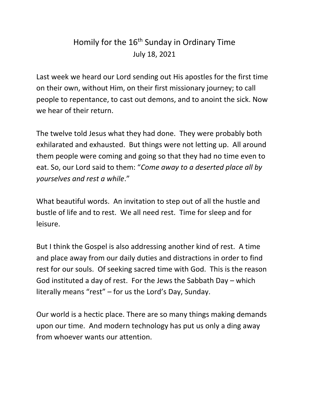## Homily for the  $16<sup>th</sup>$  Sunday in Ordinary Time July 18, 2021

Last week we heard our Lord sending out His apostles for the first time on their own, without Him, on their first missionary journey; to call people to repentance, to cast out demons, and to anoint the sick. Now we hear of their return.

The twelve told Jesus what they had done. They were probably both exhilarated and exhausted. But things were not letting up. All around them people were coming and going so that they had no time even to eat. So, our Lord said to them: "*Come away to a deserted place all by yourselves and rest a while*."

What beautiful words. An invitation to step out of all the hustle and bustle of life and to rest. We all need rest. Time for sleep and for leisure.

But I think the Gospel is also addressing another kind of rest. A time and place away from our daily duties and distractions in order to find rest for our souls. Of seeking sacred time with God. This is the reason God instituted a day of rest. For the Jews the Sabbath Day – which literally means "rest" – for us the Lord's Day, Sunday.

Our world is a hectic place. There are so many things making demands upon our time. And modern technology has put us only a ding away from whoever wants our attention.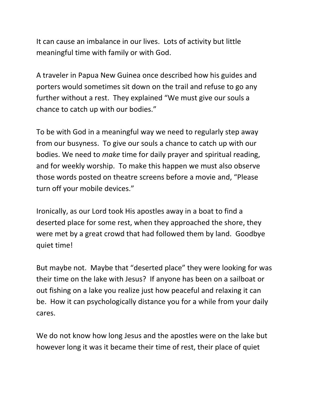It can cause an imbalance in our lives. Lots of activity but little meaningful time with family or with God.

A traveler in Papua New Guinea once described how his guides and porters would sometimes sit down on the trail and refuse to go any further without a rest. They explained "We must give our souls a chance to catch up with our bodies."

To be with God in a meaningful way we need to regularly step away from our busyness. To give our souls a chance to catch up with our bodies. We need to *make* time for daily prayer and spiritual reading, and for weekly worship. To make this happen we must also observe those words posted on theatre screens before a movie and, "Please turn off your mobile devices."

Ironically, as our Lord took His apostles away in a boat to find a deserted place for some rest, when they approached the shore, they were met by a great crowd that had followed them by land. Goodbye quiet time!

But maybe not. Maybe that "deserted place" they were looking for was their time on the lake with Jesus? If anyone has been on a sailboat or out fishing on a lake you realize just how peaceful and relaxing it can be. How it can psychologically distance you for a while from your daily cares.

We do not know how long Jesus and the apostles were on the lake but however long it was it became their time of rest, their place of quiet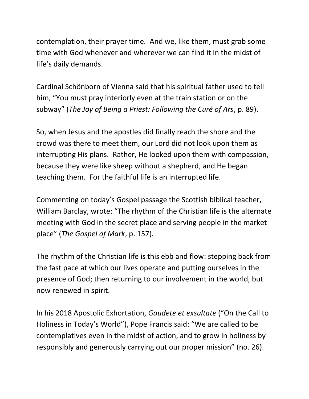contemplation, their prayer time. And we, like them, must grab some time with God whenever and wherever we can find it in the midst of life's daily demands.

Cardinal Schönborn of Vienna said that his spiritual father used to tell him, "You must pray interiorly even at the train station or on the subway" (*The Joy of Being a Priest: Following the Curé of Ars*, p. 89).

So, when Jesus and the apostles did finally reach the shore and the crowd was there to meet them, our Lord did not look upon them as interrupting His plans. Rather, He looked upon them with compassion, because they were like sheep without a shepherd, and He began teaching them. For the faithful life is an interrupted life.

Commenting on today's Gospel passage the Scottish biblical teacher, William Barclay, wrote: "The rhythm of the Christian life is the alternate meeting with God in the secret place and serving people in the market place" (*The Gospel of Mark*, p. 157).

The rhythm of the Christian life is this ebb and flow: stepping back from the fast pace at which our lives operate and putting ourselves in the presence of God; then returning to our involvement in the world, but now renewed in spirit.

In his 2018 Apostolic Exhortation, *Gaudete et exsultate* ("On the Call to Holiness in Today's World"), Pope Francis said: "We are called to be contemplatives even in the midst of action, and to grow in holiness by responsibly and generously carrying out our proper mission" (no. 26).